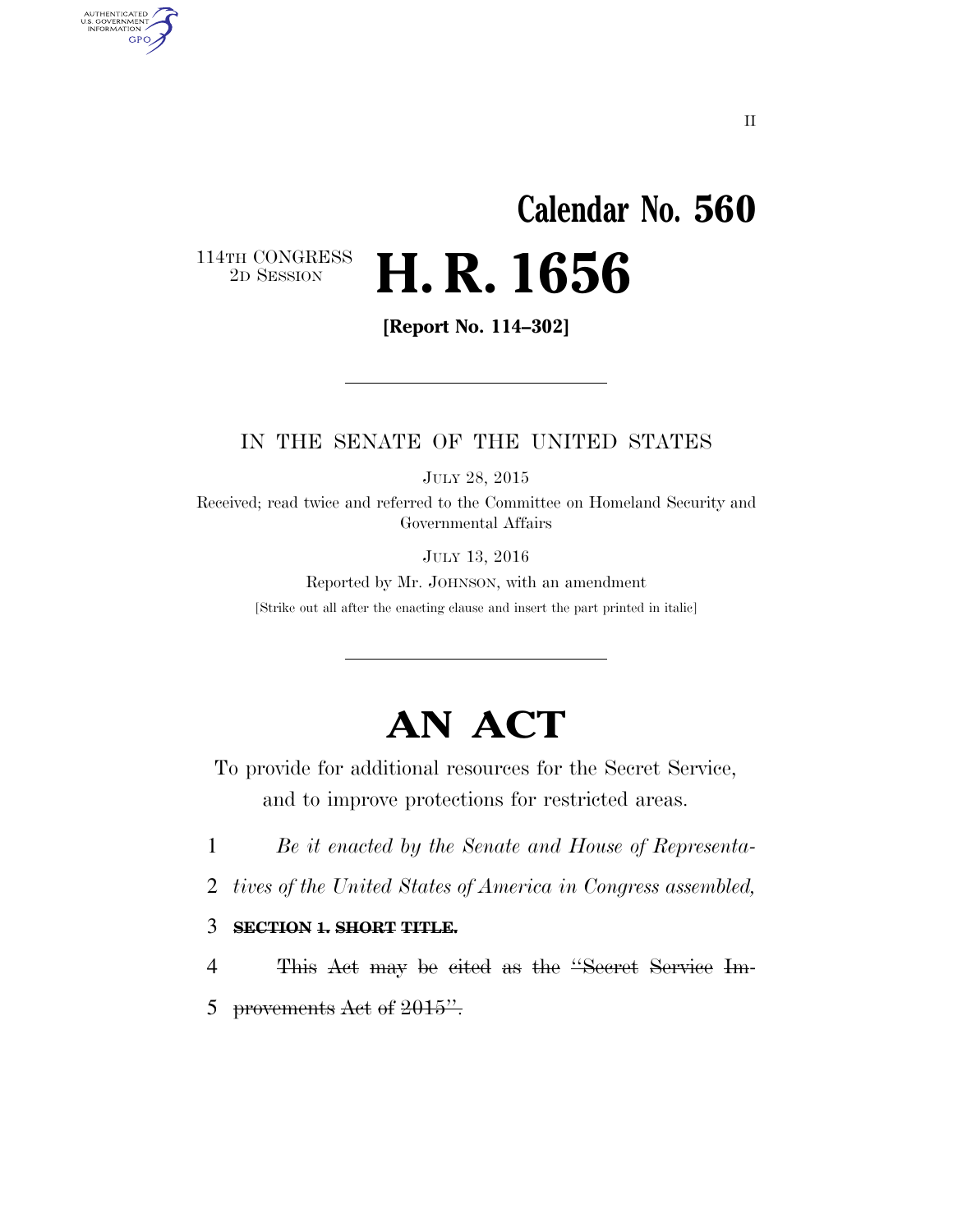## **Calendar No. 560**  2D SESSION **H. R. 1656**

114TH CONGRESS<br>2D SESSION

AUTHENTICATED<br>U.S. GOVERNMENT<br>INFORMATION

**GPO** 

**[Report No. 114–302]** 

#### IN THE SENATE OF THE UNITED STATES

JULY 28, 2015

Received; read twice and referred to the Committee on Homeland Security and Governmental Affairs

JULY 13, 2016

Reported by Mr. JOHNSON, with an amendment [Strike out all after the enacting clause and insert the part printed in italic]

## **AN ACT**

To provide for additional resources for the Secret Service, and to improve protections for restricted areas.

1 *Be it enacted by the Senate and House of Representa-*

2 *tives of the United States of America in Congress assembled,* 

3 **SECTION 1. SHORT TITLE.** 

4 This Act may be cited as the ''Secret Service Im-5 provements Act of  $2015$ ".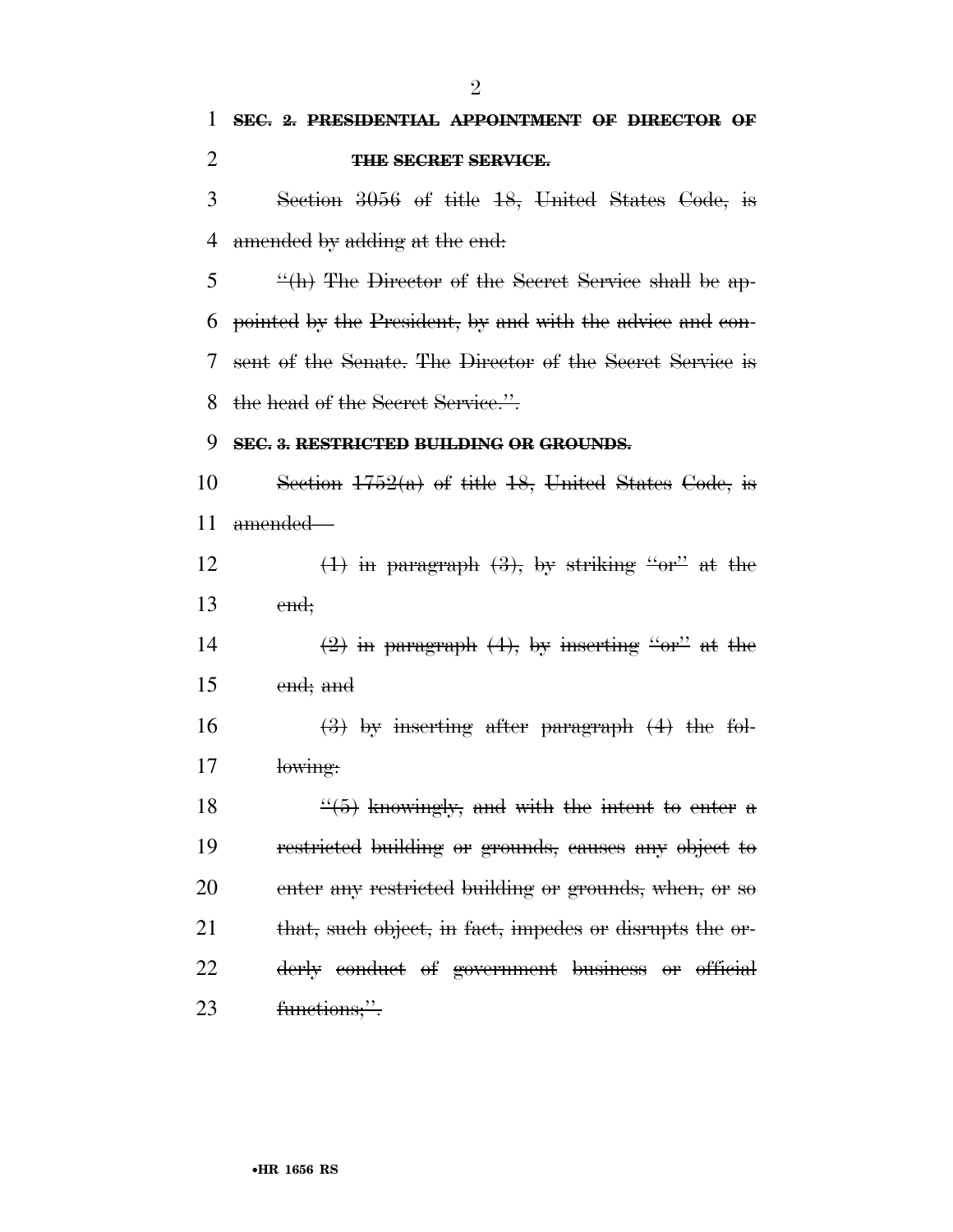## 1 **SEC. 2. PRESIDENTIAL APPOINTMENT OF DIRECTOR OF**  2 **THE SECRET SERVICE.**

3 Section 3056 of title 18, United States Code, is 4 amended by adding at the end.

5 ''(h) The Director of the Secret Service shall be ap-6 pointed by the President, by and with the advice and con-7 sent of the Senate. The Director of the Secret Service is 8 the head of the Secret Service.".

#### 9 **SEC. 3. RESTRICTED BUILDING OR GROUNDS.**

10 Section  $1752(a)$  of title 18, United States Code, is 11 amended—

12  $(1)$  in paragraph  $(3)$ , by striking "or" at the 13 end;

14  $\left(2\right)$  in paragraph  $\left(4\right)$ , by inserting "or" at the 15 end; and

16  $\left(3\right)$  by inserting after paragraph  $\left(4\right)$  the fol-17 lowing:

 $\frac{4}{5}$  knowingly, and with the intent to enter a restricted building or grounds, causes any object to enter any restricted building or grounds, when, or so 21 that, such object, in fact, impedes or disrupts the or- derly conduct of government business or official 23 functions;".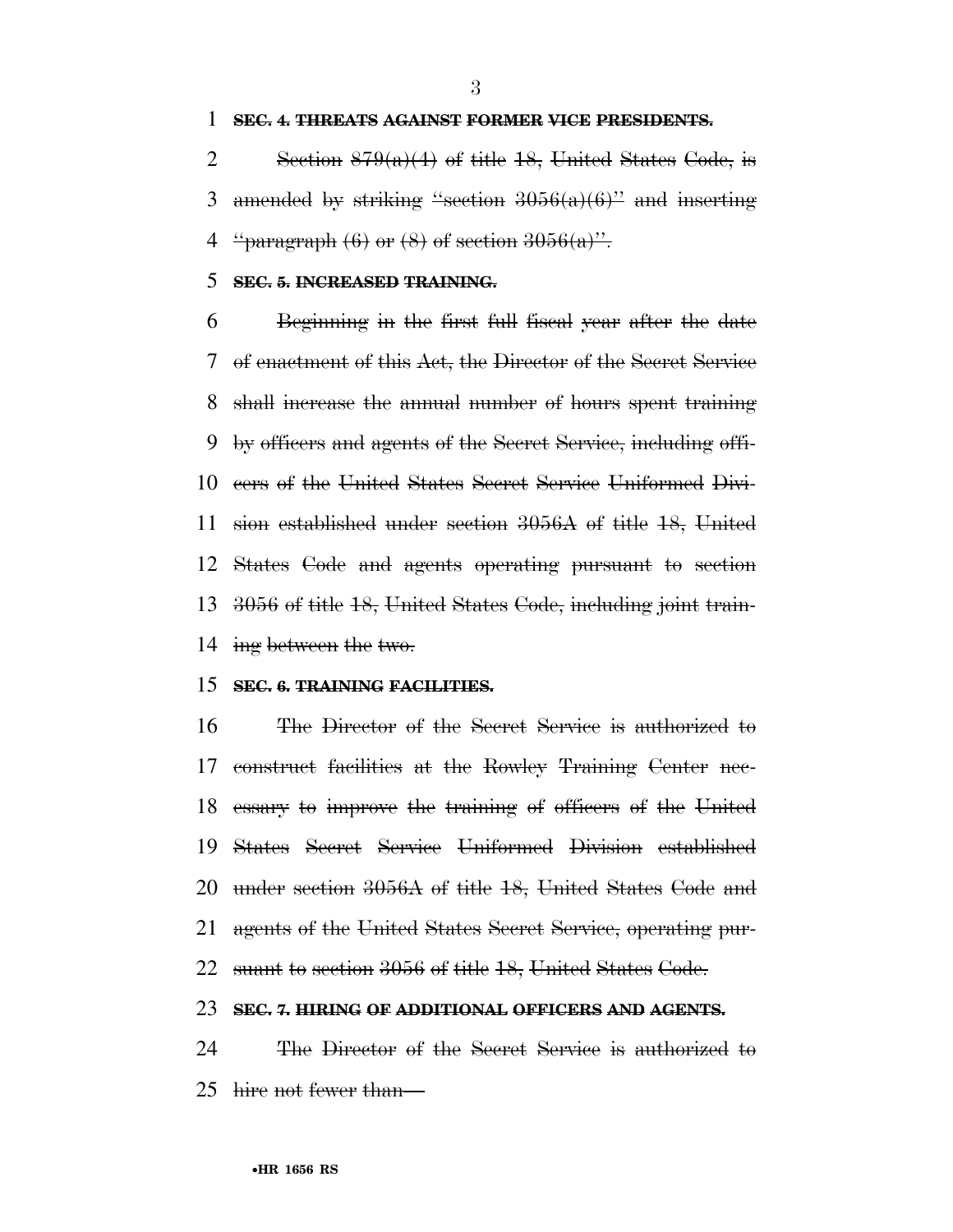#### **SEC. 4. THREATS AGAINST FORMER VICE PRESIDENTS.**

2 Section  $879(a)(4)$  of title 18, United States Code, is 3 amended by striking "section  $3056(a)(6)$ " and inserting 4  $\frac{1}{2}$   $\frac{1}{2}$   $\frac{1}{2}$   $\frac{1}{2}$   $\frac{1}{2}$   $\frac{1}{2}$   $\frac{1}{2}$   $\frac{1}{2}$   $\frac{1}{2}$   $\frac{1}{2}$   $\frac{1}{2}$   $\frac{1}{2}$   $\frac{1}{2}$   $\frac{1}{2}$   $\frac{1}{2}$   $\frac{1}{2}$   $\frac{1}{2}$   $\frac{1}{2}$   $\frac{1}{2}$   $\frac{1}{2}$   $\frac{1}{2}$   $\frac{1}{2}$ 

#### **SEC. 5. INCREASED TRAINING.**

 Beginning in the first full fiscal year after the date of enactment of this Act, the Director of the Secret Service shall increase the annual number of hours spent training by officers and agents of the Secret Service, including offi- cers of the United States Secret Service Uniformed Divi- sion established under section 3056A of title 18, United States Code and agents operating pursuant to section 3056 of title 18, United States Code, including joint train-ing between the two.

#### **SEC. 6. TRAINING FACILITIES.**

 The Director of the Secret Service is authorized to construct facilities at the Rowley Training Center nec- essary to improve the training of officers of the United States Secret Service Uniformed Division established under section 3056A of title 18, United States Code and agents of the United States Secret Service, operating pur-suant to section 3056 of title 18, United States Code.

#### **SEC. 7. HIRING OF ADDITIONAL OFFICERS AND AGENTS.**

 The Director of the Secret Service is authorized to hire not fewer than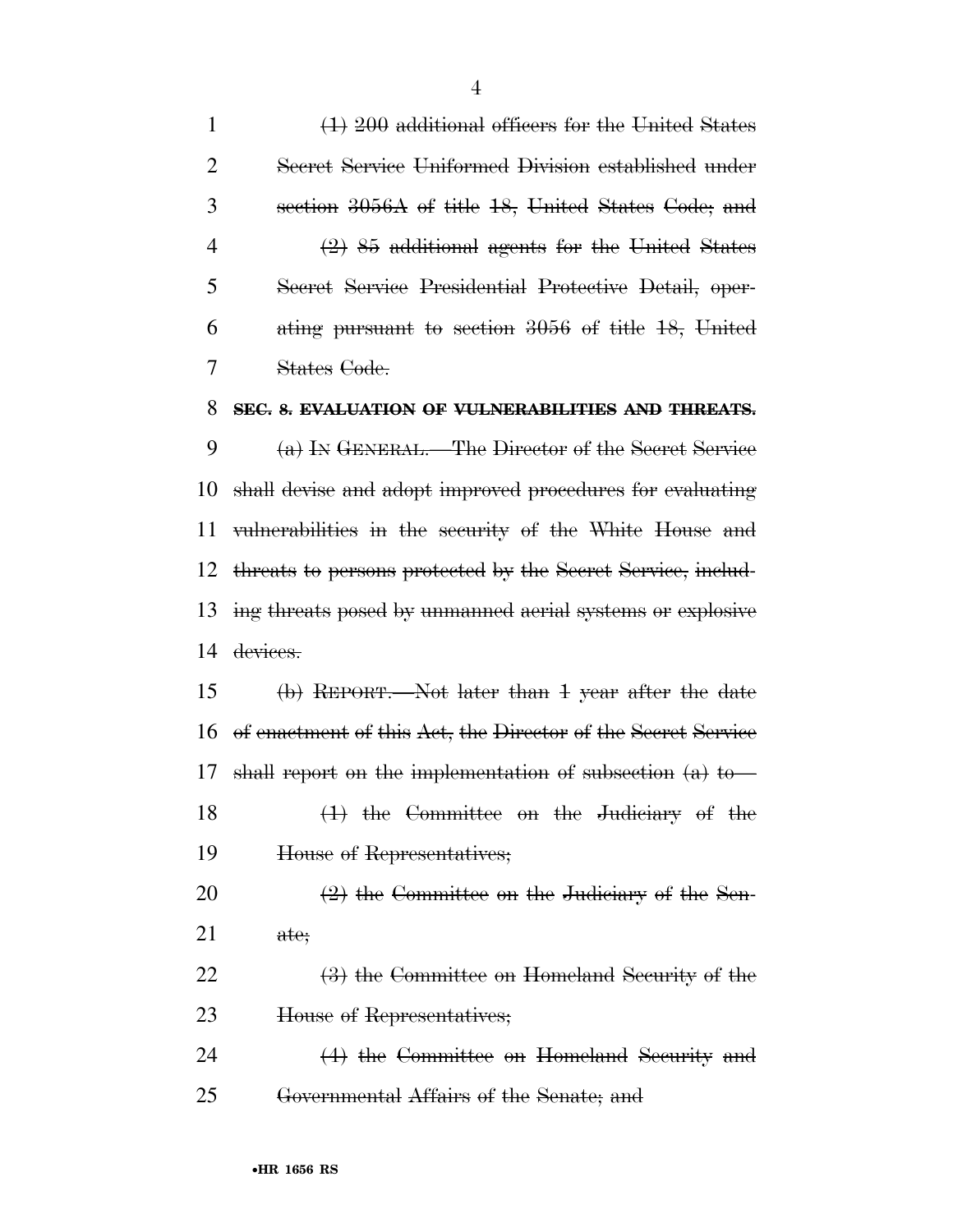(1) 200 additional officers for the United States Secret Service Uniformed Division established under section 3056A of title 18, United States Code; and (2) 85 additional agents for the United States Secret Service Presidential Protective Detail, oper- ating pursuant to section 3056 of title 18, United States Code.

#### **SEC. 8. EVALUATION OF VULNERABILITIES AND THREATS.**

 (a) IN GENERAL.—The Director of the Secret Service shall devise and adopt improved procedures for evaluating vulnerabilities in the security of the White House and threats to persons protected by the Secret Service, includ- ing threats posed by unmanned aerial systems or explosive 14 devices.

 (b) REPORT.—Not later than 1 year after the date of enactment of this Act, the Director of the Secret Service shall report on the implementation of subsection (a) to— (1) the Committee on the Judiciary of the House of Representatives;  $\left(2\right)$  the Committee on the Judiciary of the Sen-

ate;

22 (3) the Committee on Homeland Security of the House of Representatives;

 (4) the Committee on Homeland Security and Governmental Affairs of the Senate; and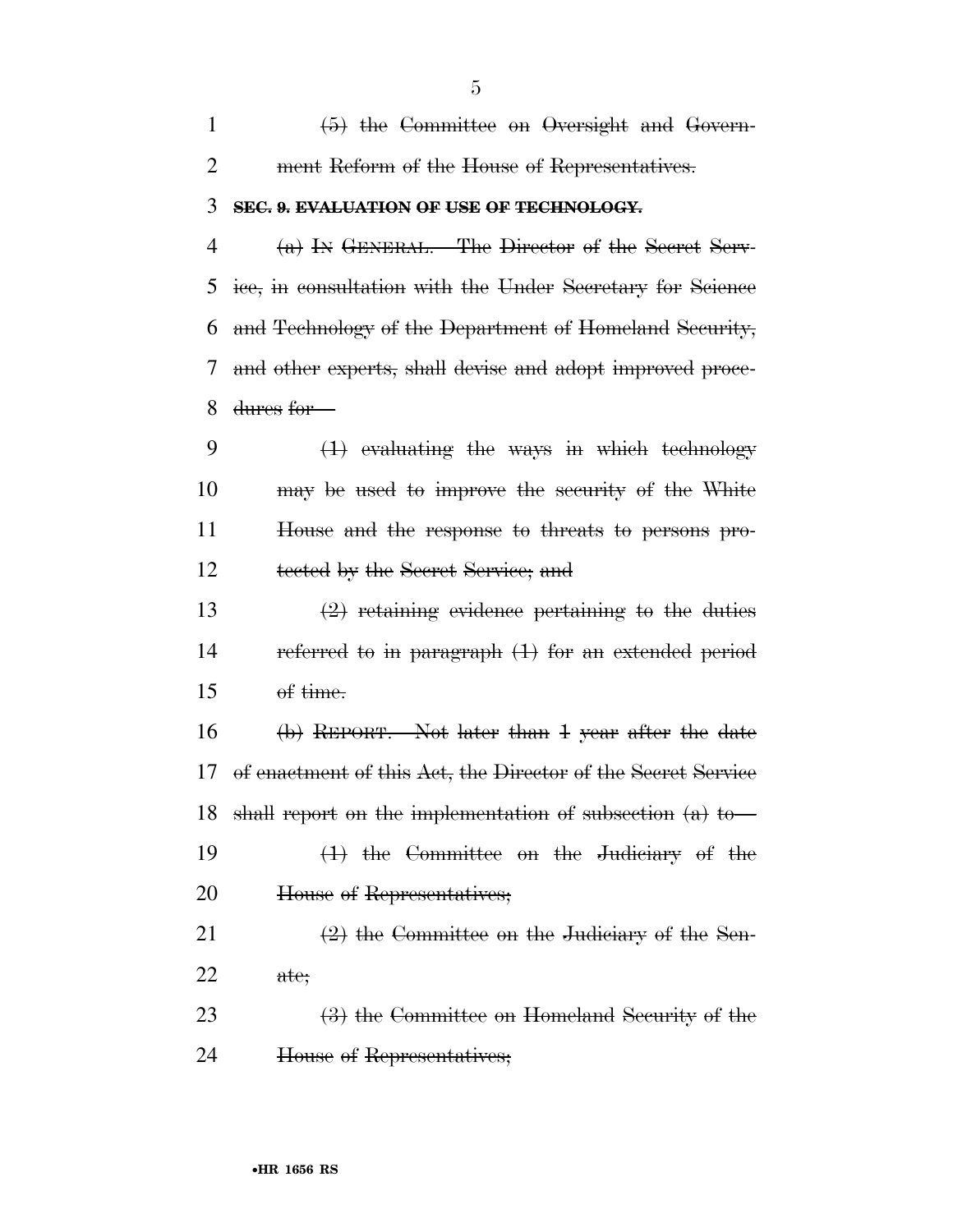| $\mathbf{1}$   | (5) the Committee on Oversight and Govern-                   |
|----------------|--------------------------------------------------------------|
| $\overline{2}$ | ment Reform of the House of Representatives.                 |
| 3              | SEC. 9. EVALUATION OF USE OF TECHNOLOGY.                     |
| 4              | (a) IN GENERAL.—The Director of the Secret Serv-             |
| 5              | ice, in consultation with the Under Secretary for Science    |
| 6              | and Technology of the Department of Homeland Security,       |
| 7              | and other experts, shall devise and adopt improved proce-    |
| 8              | dures for-                                                   |
| 9              | $(1)$ evaluating the ways in which technology                |
| 10             | may be used to improve the security of the White             |
| 11             | House and the response to threats to persons pro-            |
| 12             | tected by the Secret Service; and                            |
| 13             | $(2)$ retaining evidence pertaining to the duties            |
| 14             | referred to in paragraph $(1)$ for an extended period        |
| 15             |                                                              |
| 16             | (b) REPORT.—Not later than 1 year after the date             |
| 17             | of enactment of this Act, the Director of the Secret Service |
|                | 18 shall report on the implementation of subsection $(a)$ to |
| 19             | $(1)$ the Committee on the Judiciary of the                  |
| 20             | House of Representatives;                                    |
| 21             | $(2)$ the Committee on the Judiciary of the Sen-             |
| 22             | ate;                                                         |
| 23             | (3) the Committee on Homeland Security of the                |
| 24             | House of Representatives;                                    |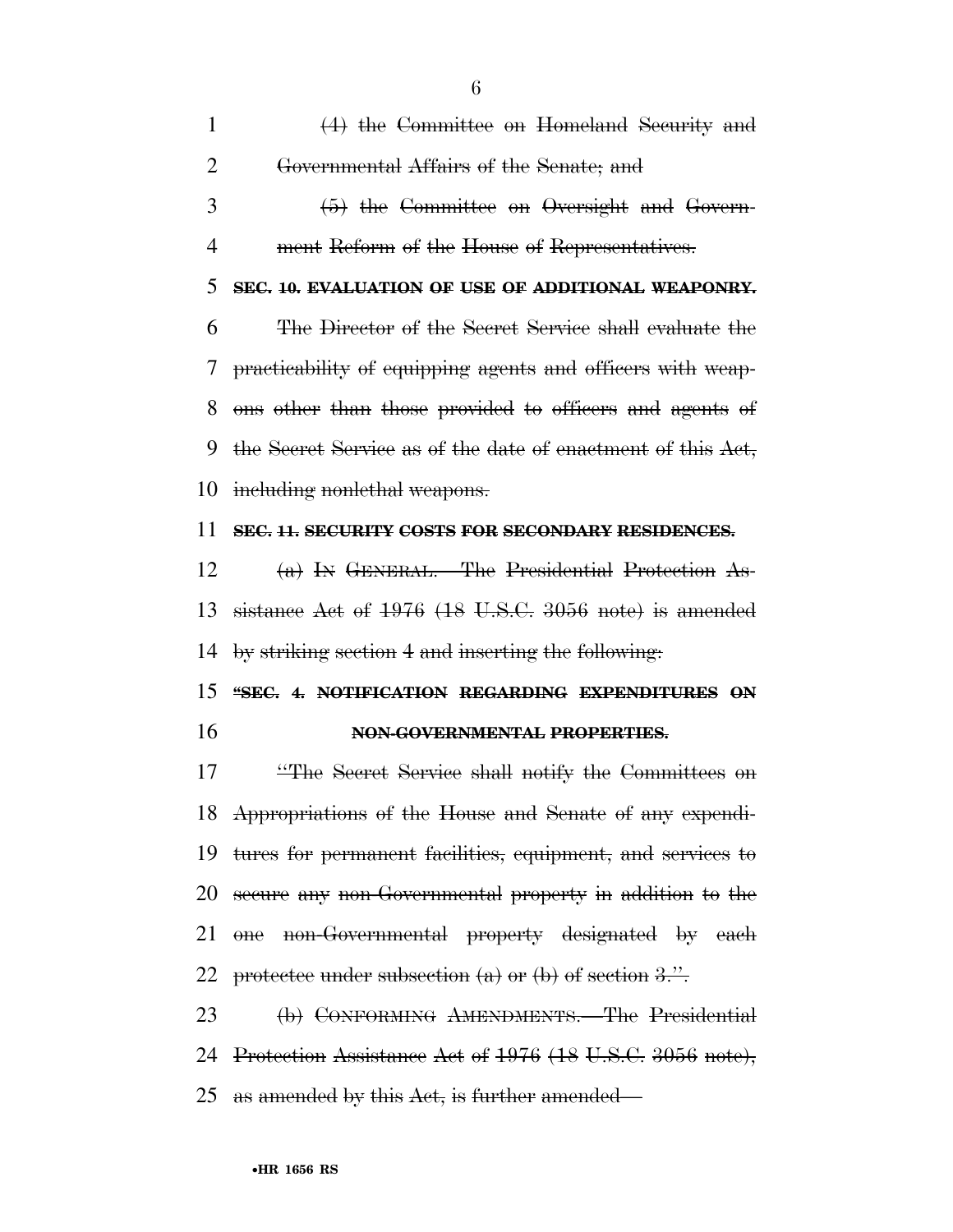| $\mathbf{1}$   | $(4)$ the Committee on Homeland Security and                |
|----------------|-------------------------------------------------------------|
| $\overline{2}$ | Governmental Affairs of the Senate; and                     |
| 3              | (5) the Committee on Oversight and Govern-                  |
| 4              | ment Reform of the House of Representatives.                |
| 5              | SEC. 10. EVALUATION OF USE OF ADDITIONAL WEAPONRY.          |
| 6              | The Director of the Secret Service shall evaluate the       |
| 7              | practicability of equipping agents and officers with weap-  |
| 8              | ons other than those provided to officers and agents of     |
| 9              | the Secret Service as of the date of enactment of this Act, |
| 10             | including nonlethal weapons.                                |
| 11             | SEC. 11. SECURITY COSTS FOR SECONDARY RESIDENCES.           |
| 12             | (a) IN GENERAL. The Presidential Protection As-             |
| 13             | sistance Act of $1976$ (18 U.S.C. 3056 note) is amended     |
| 14             | by striking section 4 and inserting the following.          |
| 15             | "SEC. 4. NOTIFICATION REGARDING EXPENDITURES ON             |
| 16             | NON-GOVERNMENTAL PROPERTIES.                                |
| 17             | "The Secret Service shall notify the Committees on          |
|                | 18 Appropriations of the House and Senate of any expendi-   |
| 19             | tures for permanent facilities, equipment, and services to  |
| 20             | secure any non-Governmental property in addition to the     |
| 21             | one non-Governmental property designated by each            |
| 22             | protectee under subsection $(a)$ or $(b)$ of section 3.".   |
| 23             | (b) CONFORMING AMENDMENTS.—The Presidential                 |
|                | 24 Protection Assistance Act of 1976 (18 U.S.C. 3056 note), |
|                | 25 as amended by this Act, is further amended—              |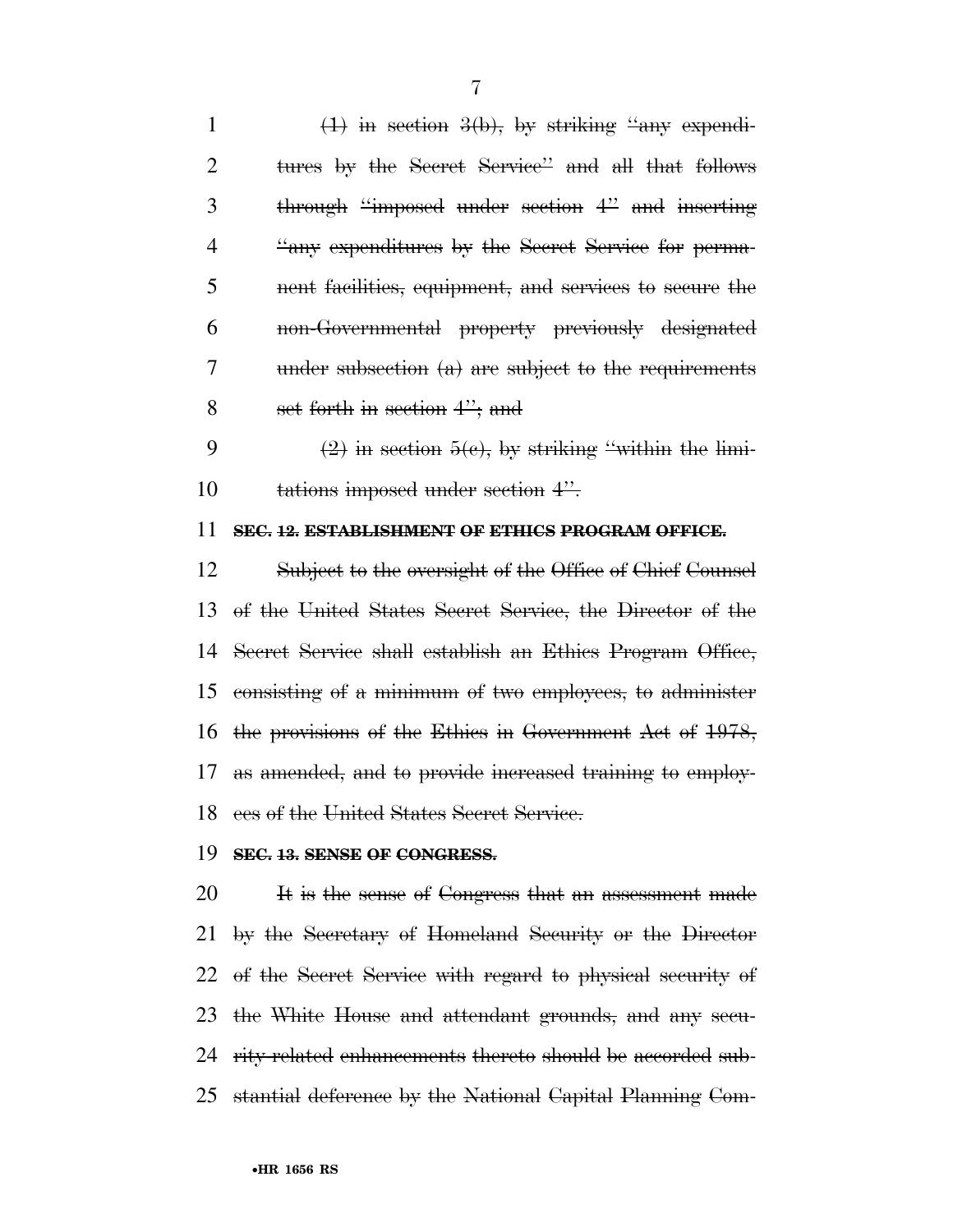$(1)$  in section  $3(b)$ , by striking "any expendi- tures by the Secret Service'' and all that follows through ''imposed under section 4'' and inserting ''any expenditures by the Secret Service for perma- nent facilities, equipment, and services to secure the non-Governmental property previously designated under subsection (a) are subject to the requirements set forth in section 4''; and

9 (2) in section  $5(e)$ , by striking "within the limi-10 tations imposed under section 4".

#### **SEC. 12. ESTABLISHMENT OF ETHICS PROGRAM OFFICE.**

 Subject to the oversight of the Office of Chief Counsel of the United States Secret Service, the Director of the Secret Service shall establish an Ethics Program Office, consisting of a minimum of two employees, to administer the provisions of the Ethics in Government Act of 1978, as amended, and to provide increased training to employ-ees of the United States Secret Service.

#### **SEC. 13. SENSE OF CONGRESS.**

 It is the sense of Congress that an assessment made by the Secretary of Homeland Security or the Director of the Secret Service with regard to physical security of the White House and attendant grounds, and any secu-24 rity-related enhancements thereto should be accorded sub-stantial deference by the National Capital Planning Com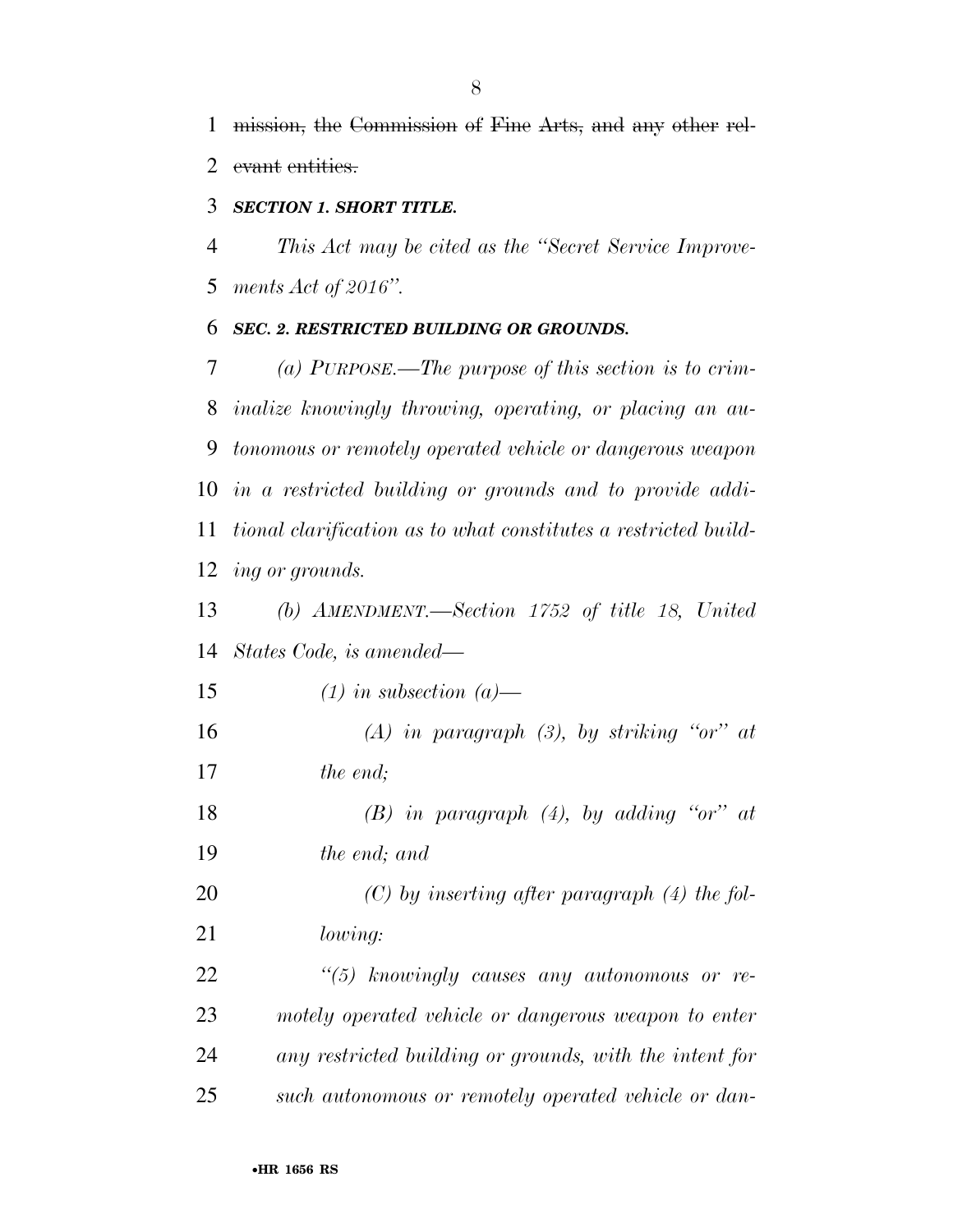mission, the Commission of Fine Arts, and any other rel-2 evant entities.

#### *SECTION 1. SHORT TITLE.*

 *This Act may be cited as the ''Secret Service Improve-ments Act of 2016''.* 

#### *SEC. 2. RESTRICTED BUILDING OR GROUNDS.*

 *(a) PURPOSE.—The purpose of this section is to crim- inalize knowingly throwing, operating, or placing an au- tonomous or remotely operated vehicle or dangerous weapon in a restricted building or grounds and to provide addi- tional clarification as to what constitutes a restricted build-ing or grounds.* 

 *(b) AMENDMENT.—Section 1752 of title 18, United States Code, is amended—* 

 *(1) in subsection (a)— (A) in paragraph (3), by striking ''or'' at the end;* 

 *(B) in paragraph (4), by adding ''or'' at the end; and* 

 *(C) by inserting after paragraph (4) the fol-lowing:* 

 *''(5) knowingly causes any autonomous or re- motely operated vehicle or dangerous weapon to enter any restricted building or grounds, with the intent for such autonomous or remotely operated vehicle or dan-*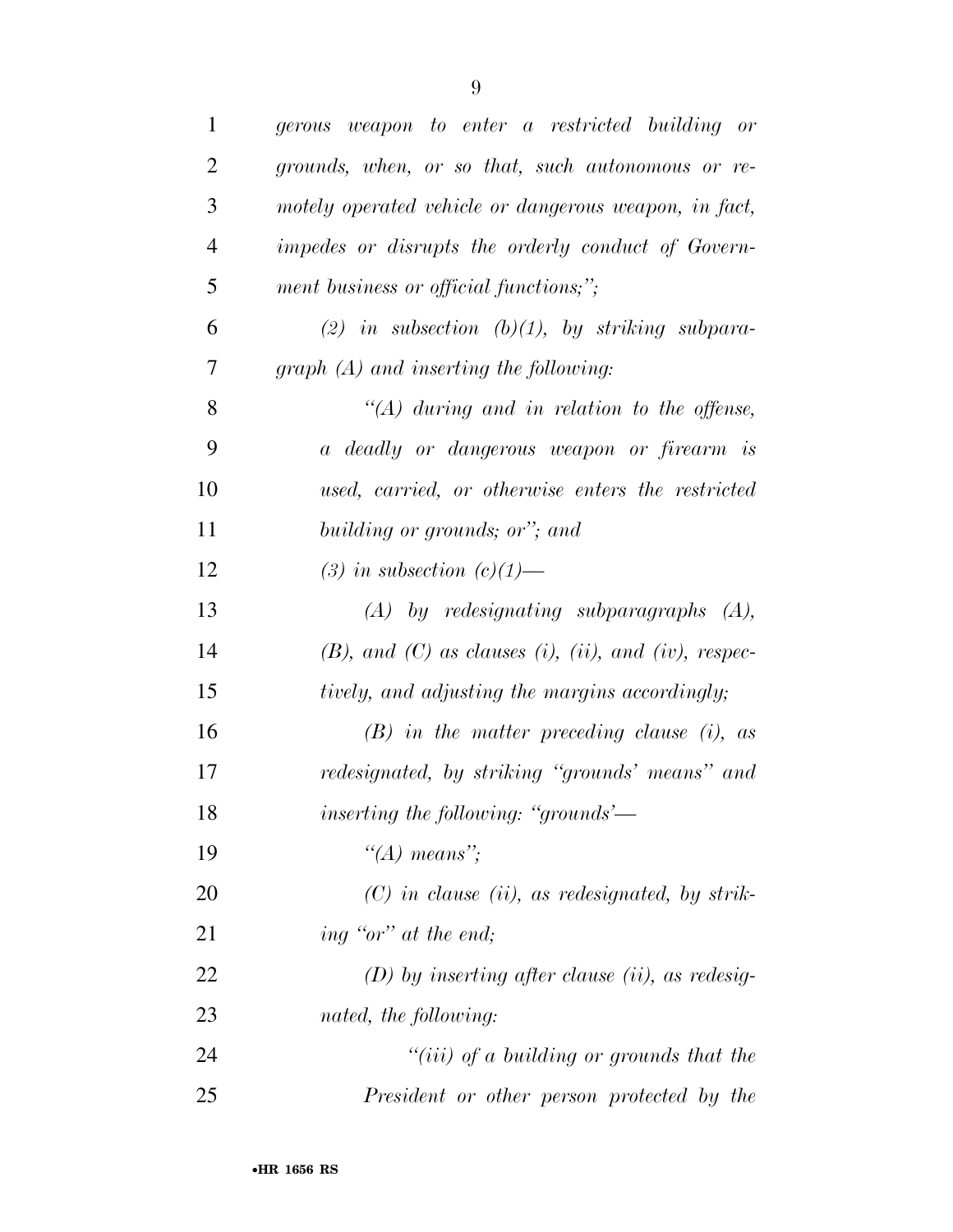| $\mathbf{1}$   | gerous weapon to enter a restricted building or                    |
|----------------|--------------------------------------------------------------------|
| $\overline{2}$ | grounds, when, or so that, such autonomous or re-                  |
| 3              | motely operated vehicle or dangerous weapon, in fact,              |
| $\overline{4}$ | impedes or disrupts the orderly conduct of Govern-                 |
| 5              | ment business or official functions;";                             |
| 6              | (2) in subsection (b)(1), by striking subpara-                     |
| 7              | $graph(A)$ and inserting the following:                            |
| 8              | "(A) during and in relation to the offense,                        |
| 9              | a deadly or dangerous weapon or firearm is                         |
| 10             | used, carried, or otherwise enters the restricted                  |
| 11             | building or grounds; or"; and                                      |
| 12             | (3) in subsection $(c)(1)$ —                                       |
| 13             | $(A)$ by redesignating subparagraphs $(A)$ ,                       |
| 14             | $(B)$ , and $(C)$ as clauses $(i)$ , $(ii)$ , and $(iv)$ , respec- |
| 15             | tively, and adjusting the margins accordingly;                     |
| 16             | $(B)$ in the matter preceding clause (i), as                       |
| 17             | redesignated, by striking "grounds' means" and                     |
| 18             | <i>inserting the following: "grounds'</i> —                        |
| 19             | "(A) means";                                                       |
| 20             | $(C)$ in clause (ii), as redesignated, by strik-                   |
| 21             | ing "or" at the end;                                               |
| 22             | $(D)$ by inserting after clause (ii), as redesig-                  |
| 23             | nated, the following:                                              |
| 24             | "( <i>iii</i> ) of a building or grounds that the                  |
| 25             | President or other person protected by the                         |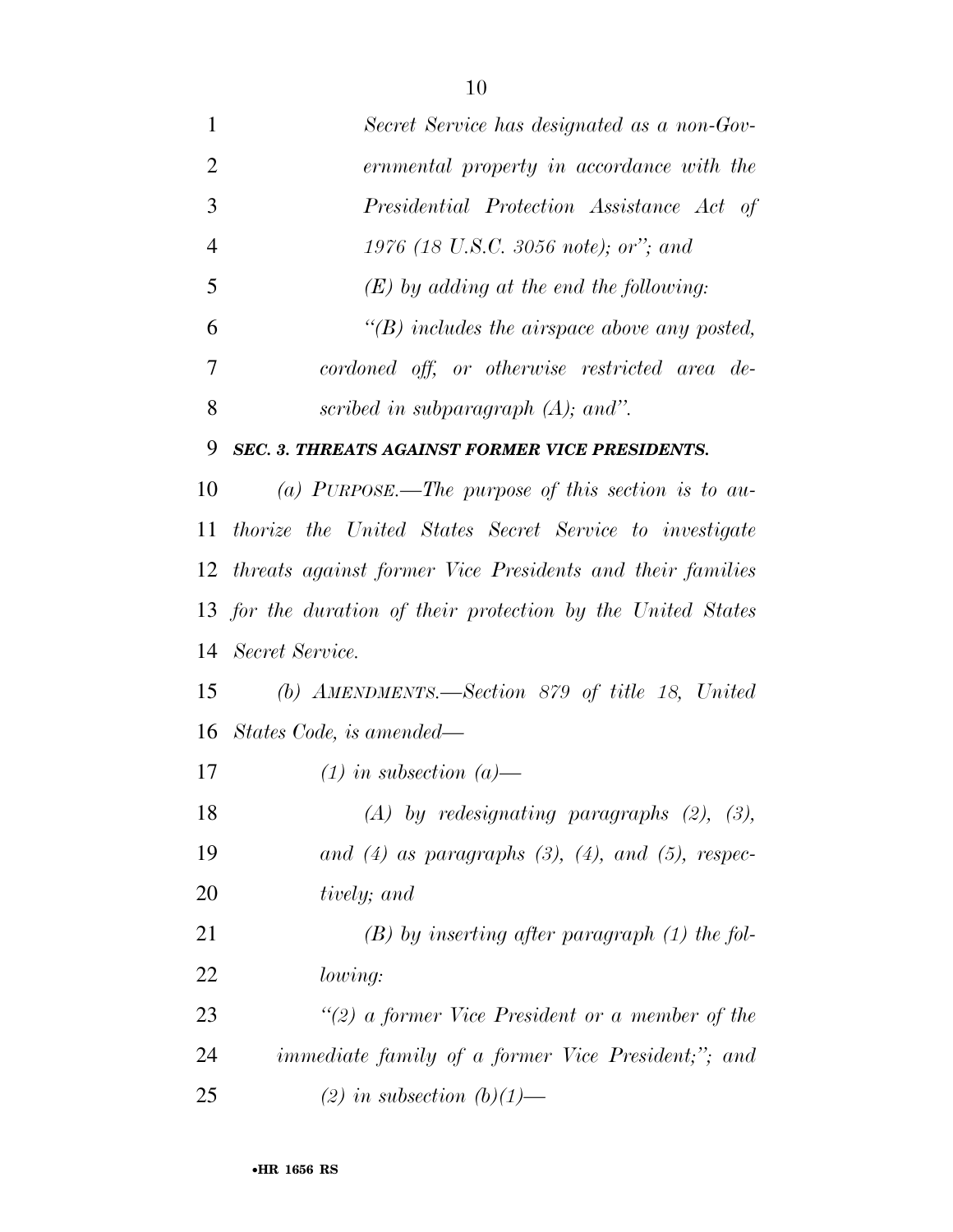| $\overline{2}$ | ernmental property in accordance with the                      |
|----------------|----------------------------------------------------------------|
| 3              | Presidential Protection Assistance Act of                      |
| $\overline{4}$ | 1976 (18 U.S.C. 3056 note); or"; and                           |
| 5              | $(E)$ by adding at the end the following:                      |
| 6              | $\lq\lq(B)$ includes the airspace above any posted,            |
| 7              | cordoned off, or otherwise restricted area de-                 |
| 8              | scribed in subparagraph $(A)$ ; and".                          |
| 9              | <b>SEC. 3. THREATS AGAINST FORMER VICE PRESIDENTS.</b>         |
| 10             | (a) PURPOSE.—The purpose of this section is to au-             |
| 11             | <i>thorize the United States Secret Service to investigate</i> |
|                | 12 threats against former Vice Presidents and their families   |
|                | 13 for the duration of their protection by the United States   |
| 14             | Secret Service.                                                |
| 15             | (b) AMENDMENTS.—Section 879 of title 18, United                |
|                | 16 States Code, is amended—                                    |
| 17             | $(1)$ in subsection $(a)$ —                                    |
| 18             | $(A)$ by redesignating paragraphs $(2)$ , $(3)$ ,              |
| 19             | and $(4)$ as paragraphs $(3)$ , $(4)$ , and $(5)$ , respec-    |
| 20             | tively; and                                                    |
| 21             | $(B)$ by inserting after paragraph $(1)$ the fol-              |
| 22             | lowing:                                                        |
| 23             | "(2) a former Vice President or a member of the                |
| 24             | <i>immediate family of a former Vice President;"; and</i>      |
| 25             | (2) in subsection $(b)(1)$ —                                   |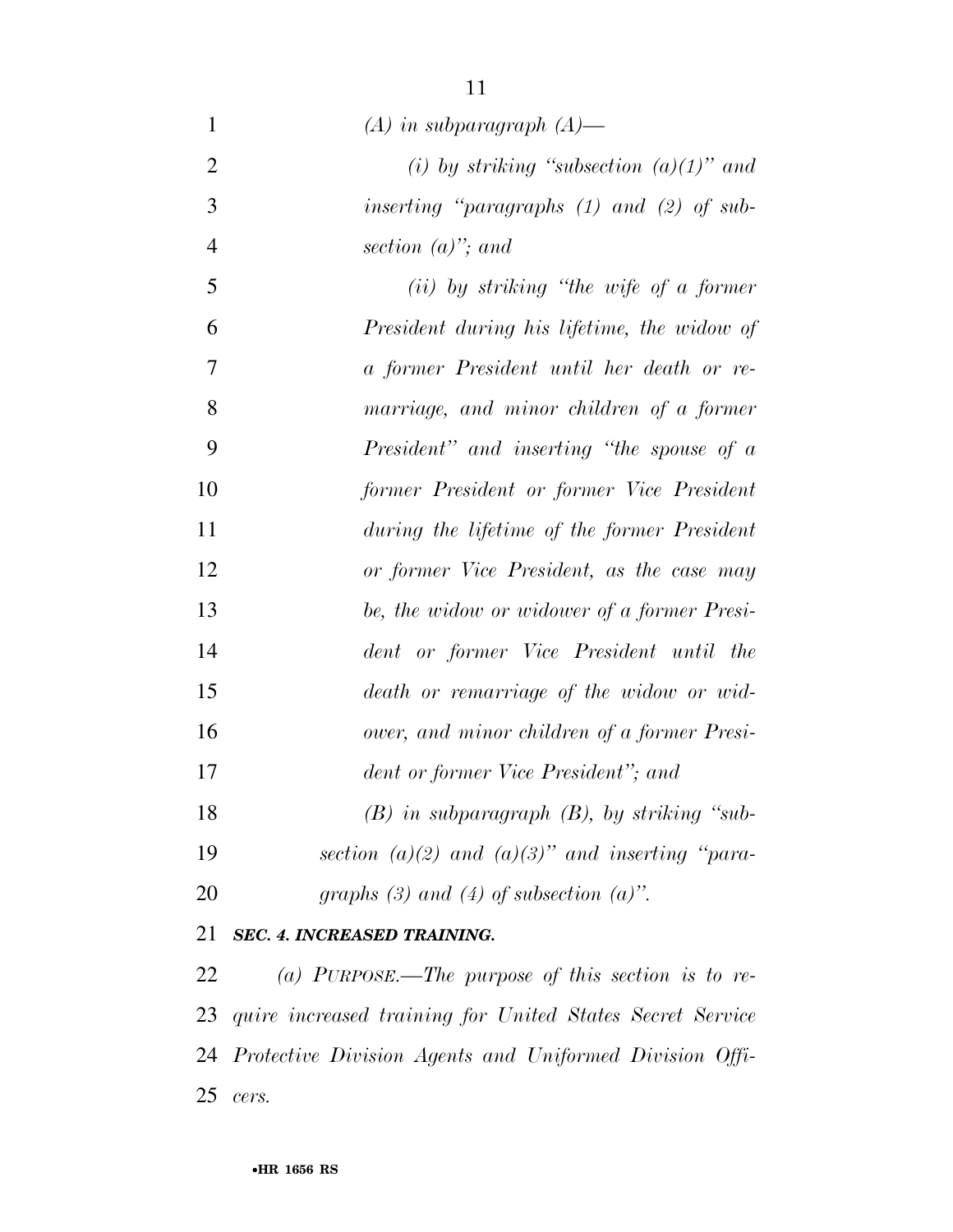| $\mathbf{1}$   | $(A)$ in subparagraph $(A)$ —                       |
|----------------|-----------------------------------------------------|
| $\overline{2}$ | (i) by striking "subsection $(a)(1)$ " and          |
| 3              | inserting "paragraphs (1) and (2) of sub-           |
| $\overline{4}$ | section $(a)$ "; and                                |
| 5              | $(ii)$ by striking "the wife of a former"           |
| 6              | President during his lifetime, the widow of         |
| 7              | a former President until her death or re-           |
| 8              | marriage, and minor children of a former            |
| 9              | President" and inserting "the spouse of a           |
| 10             | former President or former Vice President           |
| 11             | during the lifetime of the former President         |
| 12             | or former Vice President, as the case may           |
| 13             | be, the widow or widower of a former Presi-         |
| 14             | dent or former Vice President until the             |
| 15             | death or remarriage of the widow or wid-            |
| 16             | ower, and minor children of a former Presi-         |
| 17             | dent or former Vice President"; and                 |
| 18             | $(B)$ in subparagraph $(B)$ , by striking "sub-     |
| 19             | section (a)(2) and (a)(3)" and inserting "para-     |
| 20             | graphs (3) and (4) of subsection (a)".              |
| 21             | <b>SEC. 4. INCREASED TRAINING.</b>                  |
| 22             | (a) PURPOSE — The nurvose of this section is to re- |

 *(a) PURPOSE.—The purpose of this section is to re- quire increased training for United States Secret Service Protective Division Agents and Uniformed Division Offi-cers.*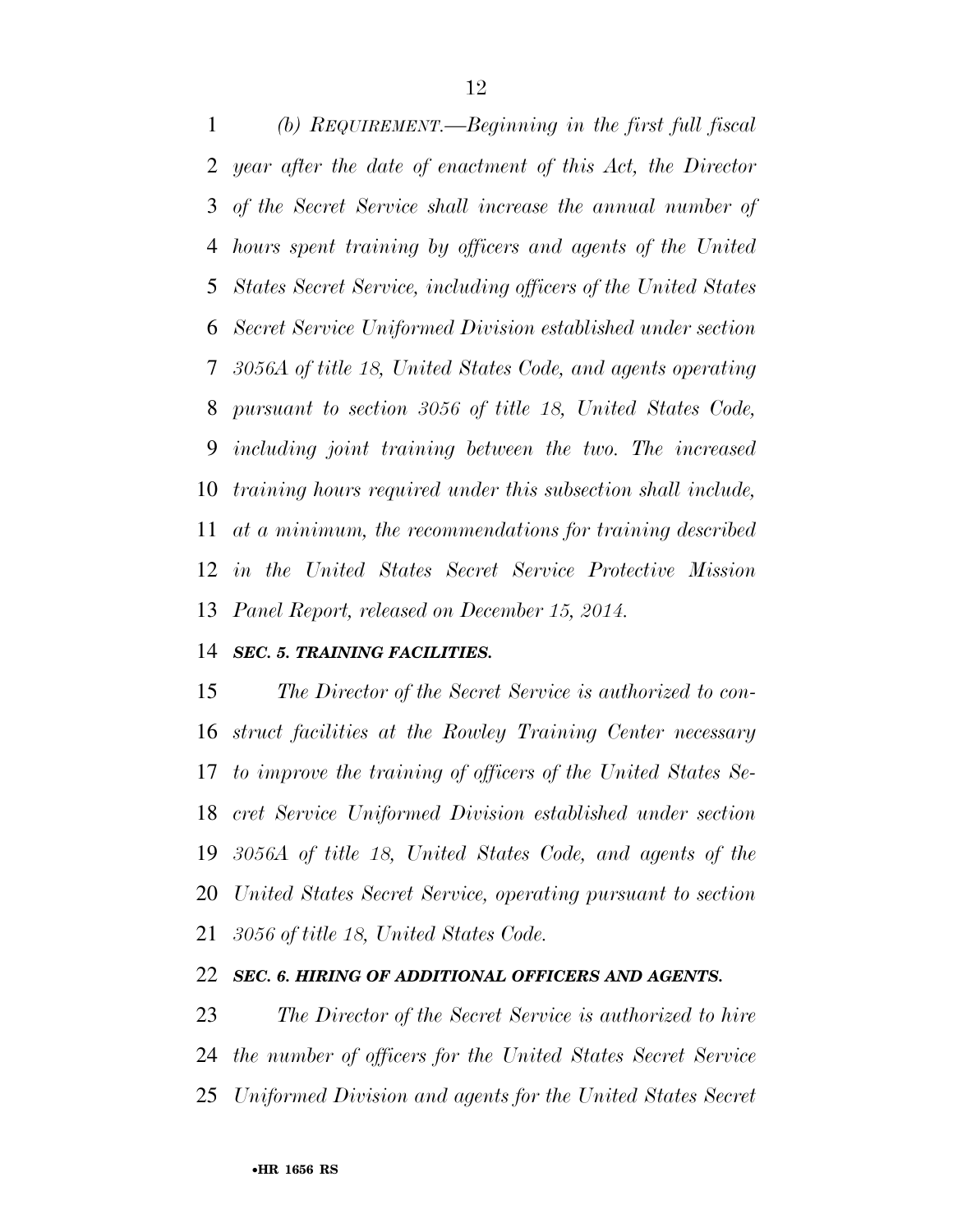*(b) REQUIREMENT.—Beginning in the first full fiscal year after the date of enactment of this Act, the Director of the Secret Service shall increase the annual number of hours spent training by officers and agents of the United States Secret Service, including officers of the United States Secret Service Uniformed Division established under section 3056A of title 18, United States Code, and agents operating pursuant to section 3056 of title 18, United States Code, including joint training between the two. The increased training hours required under this subsection shall include, at a minimum, the recommendations for training described in the United States Secret Service Protective Mission Panel Report, released on December 15, 2014.* 

#### *SEC. 5. TRAINING FACILITIES.*

 *The Director of the Secret Service is authorized to con- struct facilities at the Rowley Training Center necessary to improve the training of officers of the United States Se- cret Service Uniformed Division established under section 3056A of title 18, United States Code, and agents of the United States Secret Service, operating pursuant to section 3056 of title 18, United States Code.* 

#### *SEC. 6. HIRING OF ADDITIONAL OFFICERS AND AGENTS.*

 *The Director of the Secret Service is authorized to hire the number of officers for the United States Secret Service Uniformed Division and agents for the United States Secret*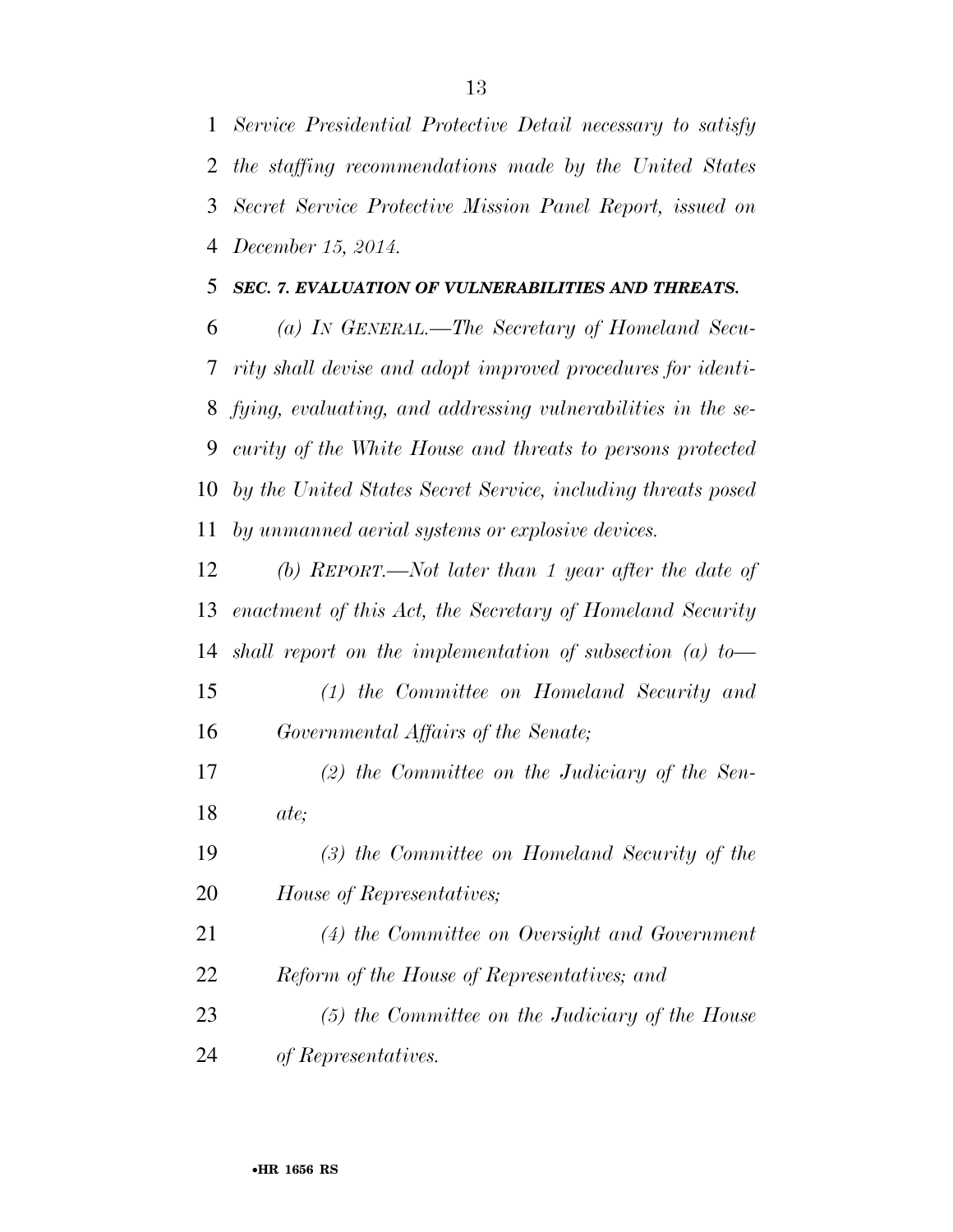*Service Presidential Protective Detail necessary to satisfy the staffing recommendations made by the United States Secret Service Protective Mission Panel Report, issued on December 15, 2014.* 

#### *SEC. 7. EVALUATION OF VULNERABILITIES AND THREATS.*

 *(a) IN GENERAL.—The Secretary of Homeland Secu- rity shall devise and adopt improved procedures for identi- fying, evaluating, and addressing vulnerabilities in the se- curity of the White House and threats to persons protected by the United States Secret Service, including threats posed by unmanned aerial systems or explosive devices.* 

 *(b) REPORT.—Not later than 1 year after the date of enactment of this Act, the Secretary of Homeland Security shall report on the implementation of subsection (a) to—* 

- *(1) the Committee on Homeland Security and Governmental Affairs of the Senate;*
- *(2) the Committee on the Judiciary of the Sen-ate;*
- *(3) the Committee on Homeland Security of the House of Representatives;*
- *(4) the Committee on Oversight and Government Reform of the House of Representatives; and*
- *(5) the Committee on the Judiciary of the House of Representatives.*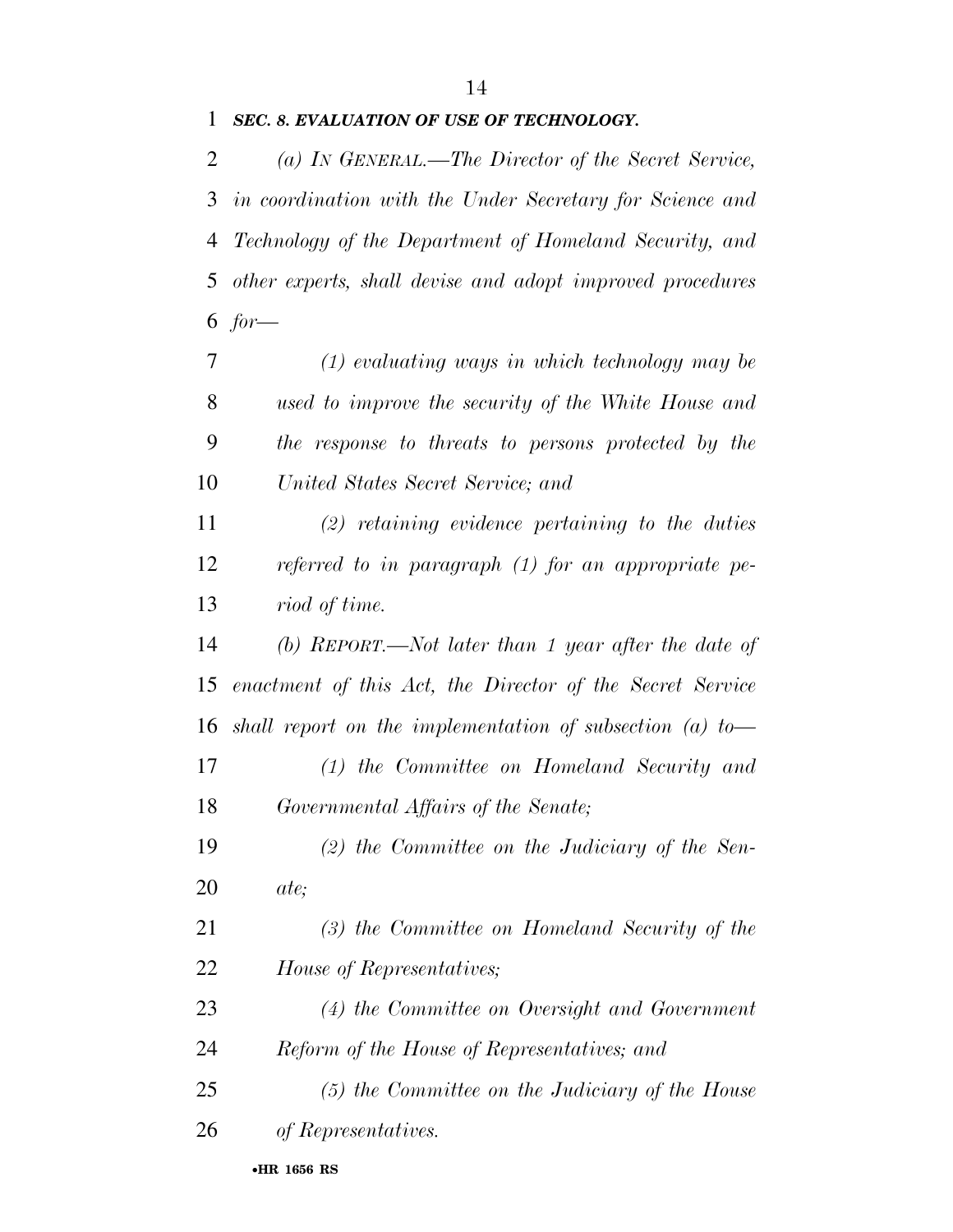#### *SEC. 8. EVALUATION OF USE OF TECHNOLOGY.*

 *(a) IN GENERAL.—The Director of the Secret Service, in coordination with the Under Secretary for Science and Technology of the Department of Homeland Security, and other experts, shall devise and adopt improved procedures for—* 

 *(1) evaluating ways in which technology may be used to improve the security of the White House and the response to threats to persons protected by the United States Secret Service; and* 

 *(2) retaining evidence pertaining to the duties referred to in paragraph (1) for an appropriate pe-riod of time.* 

 *(b) REPORT.—Not later than 1 year after the date of enactment of this Act, the Director of the Secret Service shall report on the implementation of subsection (a) to—* 

 *(1) the Committee on Homeland Security and Governmental Affairs of the Senate;* 

 *(2) the Committee on the Judiciary of the Sen-ate;* 

 *(3) the Committee on Homeland Security of the House of Representatives;* 

 *(4) the Committee on Oversight and Government Reform of the House of Representatives; and* 

 *(5) the Committee on the Judiciary of the House of Representatives.*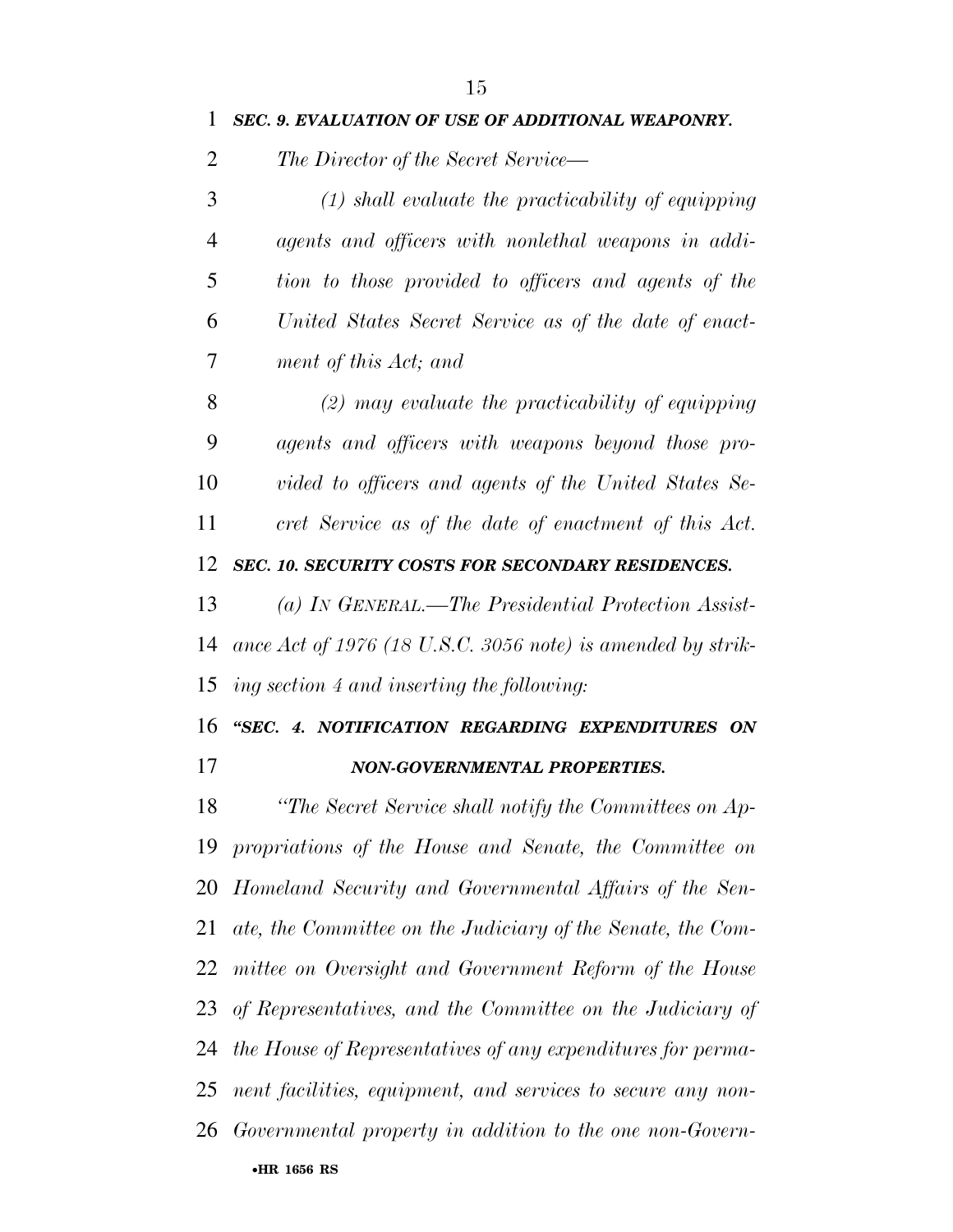| 1 | <b>SEC. 9. EVALUATION OF USE OF ADDITIONAL WEAPONRY.</b> |
|---|----------------------------------------------------------|
| 2 | The Director of the Secret Service—                      |
| 3 | $(1)$ shall evaluate the practicability of equipping     |
| 4 | agents and officers with nonlethal weapons in addi-      |
| 5 | tion to those provided to officers and agents of the     |
| 6 | United States Secret Service as of the date of enact-    |
| 7 | ment of this Act; and                                    |
| 8 | $(2)$ may evaluate the practicability of equipping       |
| 9 | agents and officers with weapons beyond those pro-       |

 *vided to officers and agents of the United States Se-cret Service as of the date of enactment of this Act.* 

*SEC. 10. SECURITY COSTS FOR SECONDARY RESIDENCES.* 

 *(a) IN GENERAL.—The Presidential Protection Assist- ance Act of 1976 (18 U.S.C. 3056 note) is amended by strik-ing section 4 and inserting the following:* 

### *''SEC. 4. NOTIFICATION REGARDING EXPENDITURES ON NON-GOVERNMENTAL PROPERTIES.*

 *''The Secret Service shall notify the Committees on Ap- propriations of the House and Senate, the Committee on Homeland Security and Governmental Affairs of the Sen- ate, the Committee on the Judiciary of the Senate, the Com- mittee on Oversight and Government Reform of the House of Representatives, and the Committee on the Judiciary of the House of Representatives of any expenditures for perma- nent facilities, equipment, and services to secure any non-Governmental property in addition to the one non-Govern-*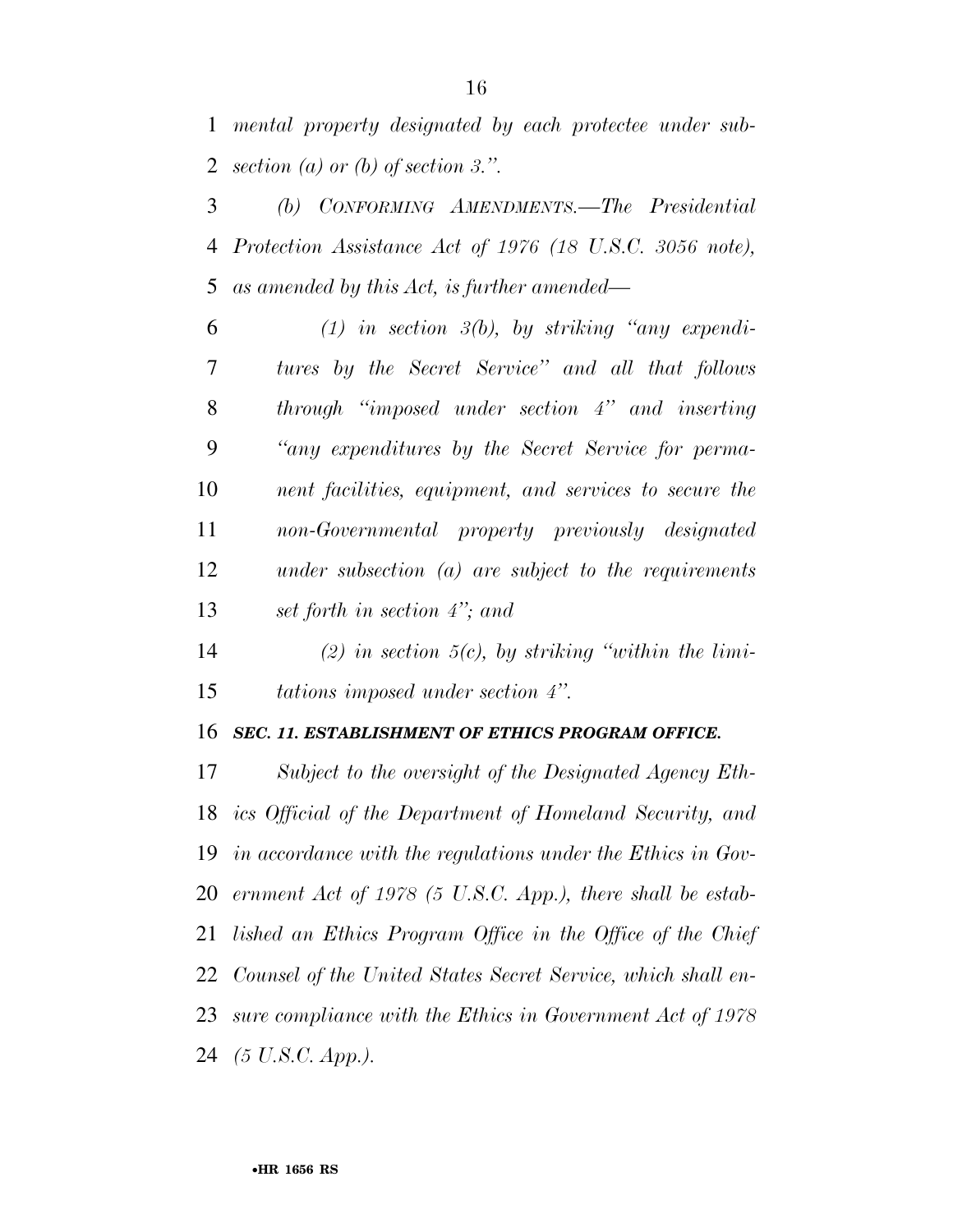*mental property designated by each protectee under sub-section (a) or (b) of section 3.''.* 

 *(b) CONFORMING AMENDMENTS.—The Presidential Protection Assistance Act of 1976 (18 U.S.C. 3056 note), as amended by this Act, is further amended—* 

 *(1) in section 3(b), by striking ''any expendi- tures by the Secret Service'' and all that follows through ''imposed under section 4'' and inserting ''any expenditures by the Secret Service for perma- nent facilities, equipment, and services to secure the non-Governmental property previously designated under subsection (a) are subject to the requirements set forth in section 4''; and* 

 *(2) in section 5(c), by striking ''within the limi-tations imposed under section 4''.* 

#### *SEC. 11. ESTABLISHMENT OF ETHICS PROGRAM OFFICE.*

 *Subject to the oversight of the Designated Agency Eth- ics Official of the Department of Homeland Security, and in accordance with the regulations under the Ethics in Gov- ernment Act of 1978 (5 U.S.C. App.), there shall be estab- lished an Ethics Program Office in the Office of the Chief Counsel of the United States Secret Service, which shall en- sure compliance with the Ethics in Government Act of 1978 (5 U.S.C. App.).*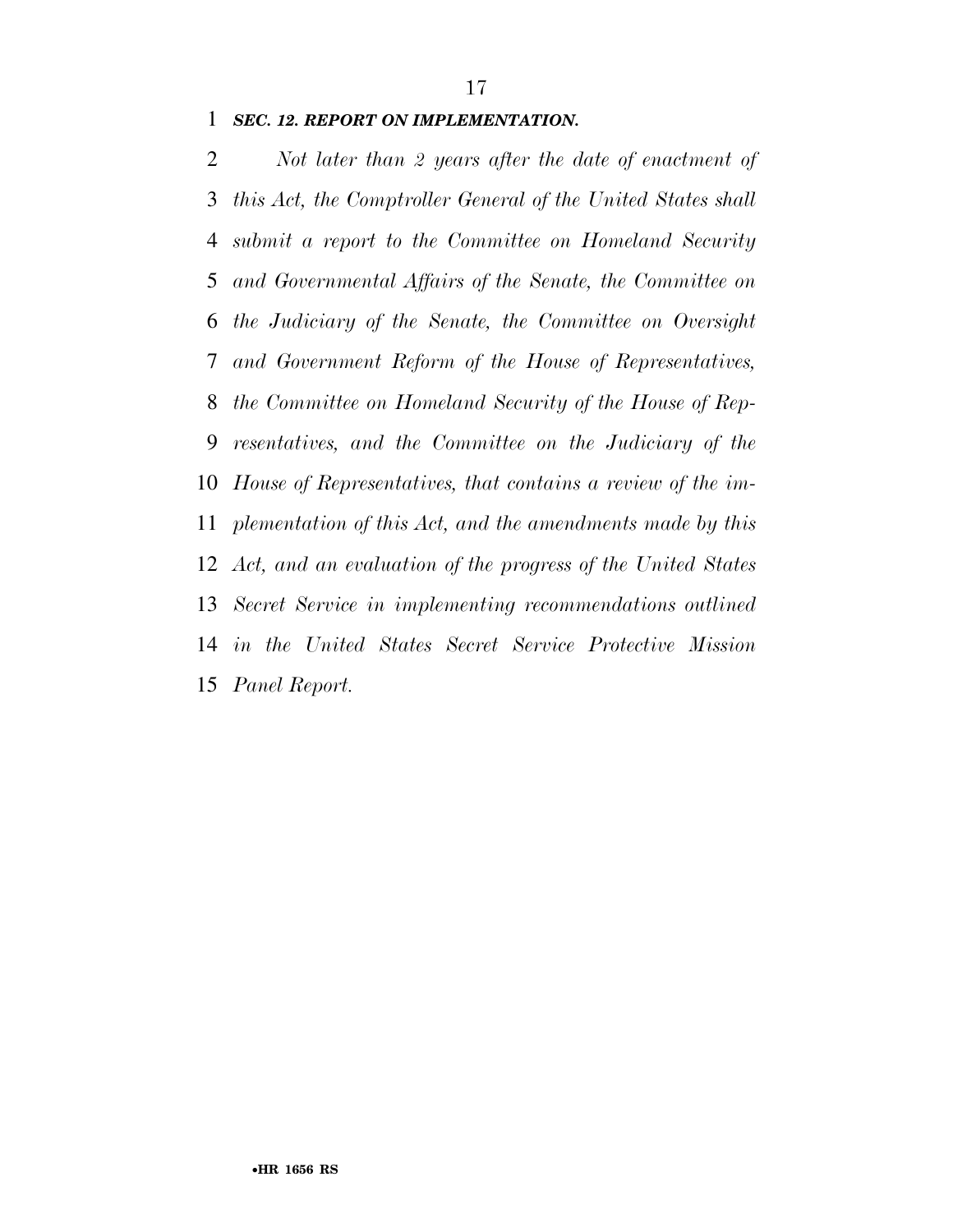#### *SEC. 12. REPORT ON IMPLEMENTATION.*

 *Not later than 2 years after the date of enactment of this Act, the Comptroller General of the United States shall submit a report to the Committee on Homeland Security and Governmental Affairs of the Senate, the Committee on the Judiciary of the Senate, the Committee on Oversight and Government Reform of the House of Representatives, the Committee on Homeland Security of the House of Rep- resentatives, and the Committee on the Judiciary of the House of Representatives, that contains a review of the im- plementation of this Act, and the amendments made by this Act, and an evaluation of the progress of the United States Secret Service in implementing recommendations outlined in the United States Secret Service Protective Mission Panel Report.*